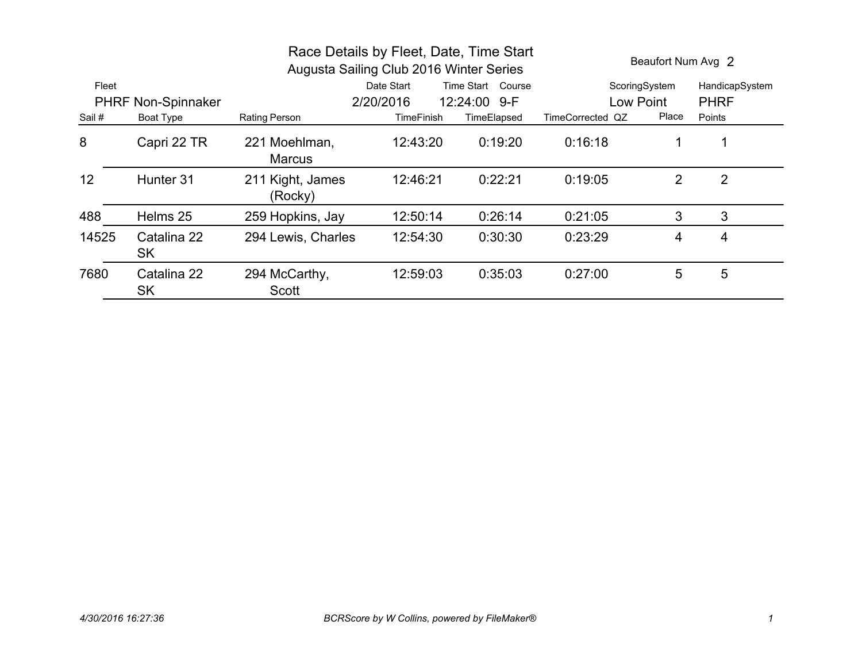| Race Details by Fleet, Date, Time Start<br>Augusta Sailing Club 2016 Winter Series |                          |                                |                                 |              |                  | Beaufort Num Avg 2 |                |
|------------------------------------------------------------------------------------|--------------------------|--------------------------------|---------------------------------|--------------|------------------|--------------------|----------------|
| Fleet                                                                              |                          |                                | Date Start<br>Time Start Course |              |                  | ScoringSystem      | HandicapSystem |
| <b>PHRF Non-Spinnaker</b>                                                          |                          |                                | 2/20/2016                       | 12:24:00 9-F |                  | Low Point          | <b>PHRF</b>    |
| Sail #                                                                             | Boat Type                | <b>Rating Person</b>           | <b>TimeFinish</b>               | TimeElapsed  | TimeCorrected QZ | Place              | Points         |
| 8                                                                                  | Capri 22 TR              | 221 Moehlman,<br><b>Marcus</b> | 12:43:20                        | 0:19:20      | 0:16:18          | 1                  |                |
| 12                                                                                 | Hunter 31                | 211 Kight, James<br>(Rocky)    | 12:46:21                        | 0:22:21      | 0:19:05          | $\overline{2}$     | $\overline{2}$ |
| 488                                                                                | Helms 25                 | 259 Hopkins, Jay               | 12:50:14                        | 0:26:14      | 0:21:05          | 3                  | 3              |
| 14525                                                                              | Catalina 22<br><b>SK</b> | 294 Lewis, Charles             | 12:54:30                        | 0:30:30      | 0:23:29          | $\overline{4}$     | 4              |
| 7680                                                                               | Catalina 22<br><b>SK</b> | 294 McCarthy,<br>Scott         | 12:59:03                        | 0:35:03      | 0:27:00          | 5                  | 5              |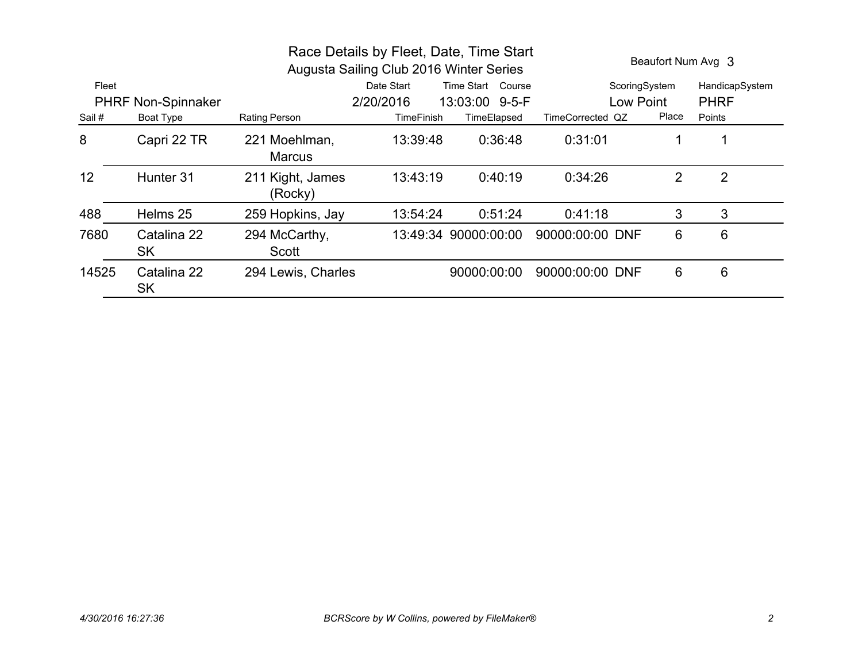| Race Details by Fleet, Date, Time Start<br>Augusta Sailing Club 2016 Winter Series |                           |                                |                                 |                      |                  | Beaufort Num Avg 3 |                |
|------------------------------------------------------------------------------------|---------------------------|--------------------------------|---------------------------------|----------------------|------------------|--------------------|----------------|
| Fleet                                                                              |                           |                                | Date Start<br>Time Start Course |                      | ScoringSystem    |                    | HandicapSystem |
|                                                                                    | <b>PHRF Non-Spinnaker</b> |                                | 2/20/2016                       | 13:03:00 9-5-F       | Low Point        |                    | <b>PHRF</b>    |
| Sail #                                                                             | Boat Type                 | Rating Person                  | <b>TimeFinish</b>               | TimeElapsed          | TimeCorrected QZ | Place              | Points         |
| 8                                                                                  | Capri 22 TR               | 221 Moehlman,<br><b>Marcus</b> | 13:39:48                        | 0:36:48              | 0:31:01          | 1                  |                |
| 12                                                                                 | Hunter 31                 | 211 Kight, James<br>(Rocky)    | 13:43:19                        | 0:40:19              | 0:34:26          | 2                  | $\overline{2}$ |
| 488                                                                                | Helms 25                  | 259 Hopkins, Jay               | 13:54:24                        | 0:51:24              | 0:41:18          | 3                  | 3              |
| 7680                                                                               | Catalina 22<br><b>SK</b>  | 294 McCarthy,<br>Scott         |                                 | 13:49:34 90000:00:00 | 90000:00:00 DNF  | 6                  | 6              |
| 14525                                                                              | Catalina 22<br><b>SK</b>  | 294 Lewis, Charles             |                                 | 90000:00:00          | 90000:00:00 DNF  | 6                  | 6              |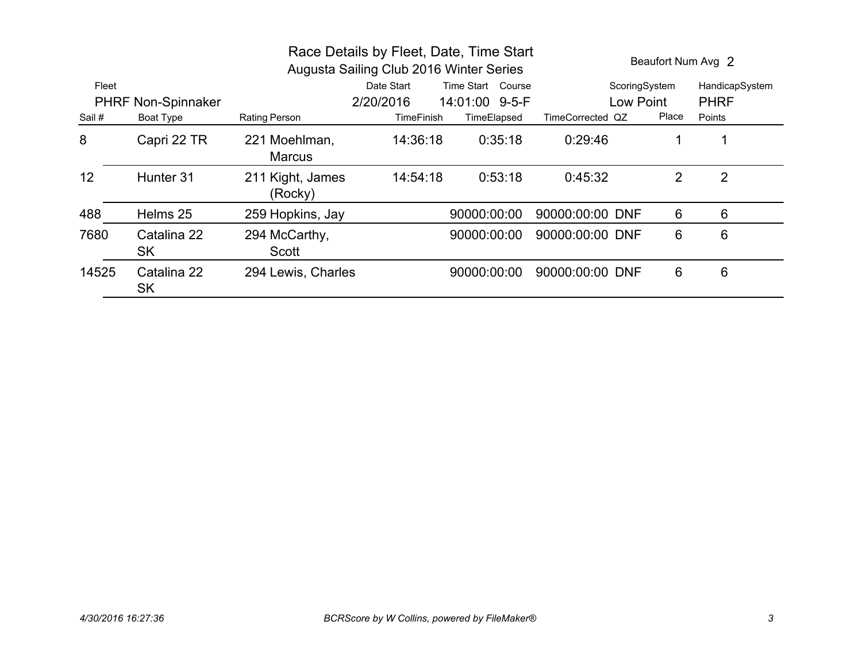| Race Details by Fleet, Date, Time Start<br>Augusta Sailing Club 2016 Winter Series |                          |                                |                   |                   |                  |       | Beaufort Num Avg 2 |
|------------------------------------------------------------------------------------|--------------------------|--------------------------------|-------------------|-------------------|------------------|-------|--------------------|
| Fleet                                                                              |                          |                                | Date Start        | Time Start Course | ScoringSystem    |       | HandicapSystem     |
| <b>PHRF Non-Spinnaker</b>                                                          |                          |                                | 2/20/2016         | 14:01:00 9-5-F    | Low Point        |       | <b>PHRF</b>        |
| Sail #                                                                             | Boat Type                | Rating Person                  | <b>TimeFinish</b> | TimeElapsed       | TimeCorrected QZ | Place | Points             |
| 8                                                                                  | Capri 22 TR              | 221 Moehlman,<br><b>Marcus</b> | 14:36:18          | 0:35:18           | 0:29:46          |       |                    |
| 12                                                                                 | Hunter 31                | 211 Kight, James<br>(Rocky)    | 14:54:18          | 0:53:18           | 0:45:32          | 2     | $\overline{2}$     |
| 488                                                                                | Helms 25                 | 259 Hopkins, Jay               |                   | 90000:00:00       | 90000:00:00 DNF  | 6     | 6                  |
| 7680                                                                               | Catalina 22<br><b>SK</b> | 294 McCarthy,<br>Scott         |                   | 90000:00:00       | 90000:00:00 DNF  | 6     | 6                  |
| 14525                                                                              | Catalina 22<br><b>SK</b> | 294 Lewis, Charles             |                   | 90000:00:00       | 90000:00:00 DNF  | 6     | 6                  |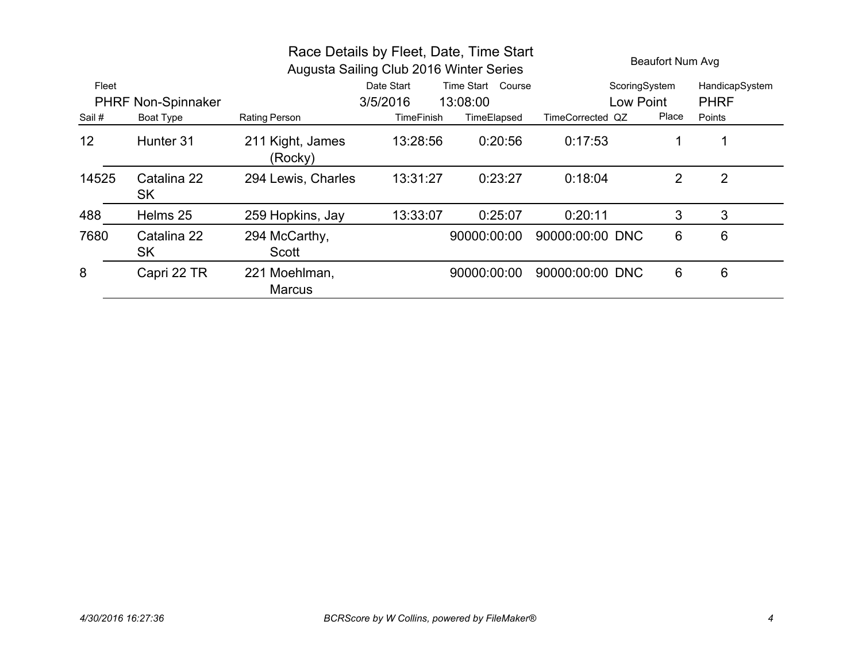| Race Details by Fleet, Date, Time Start<br>Augusta Sailing Club 2016 Winter Series |                          |                                |                                 |             |                  | <b>Beaufort Num Avg</b> |                |  |
|------------------------------------------------------------------------------------|--------------------------|--------------------------------|---------------------------------|-------------|------------------|-------------------------|----------------|--|
| Fleet                                                                              |                          |                                | Date Start<br>Time Start Course |             | ScoringSystem    |                         | HandicapSystem |  |
| <b>PHRF Non-Spinnaker</b>                                                          |                          |                                | 3/5/2016                        | 13:08:00    | Low Point        |                         | <b>PHRF</b>    |  |
| Sail #                                                                             | Boat Type                | Rating Person                  | <b>TimeFinish</b>               | TimeElapsed | TimeCorrected QZ | Place                   | Points         |  |
| 12                                                                                 | Hunter 31                | 211 Kight, James<br>(Rocky)    | 13:28:56                        | 0:20:56     | 0:17:53          | 1                       |                |  |
| 14525                                                                              | Catalina 22<br><b>SK</b> | 294 Lewis, Charles             | 13:31:27                        | 0:23:27     | 0:18:04          | 2                       | $\overline{2}$ |  |
| 488                                                                                | Helms 25                 | 259 Hopkins, Jay               | 13:33:07                        | 0:25:07     | 0:20:11          | 3                       | 3              |  |
| 7680                                                                               | Catalina 22<br><b>SK</b> | 294 McCarthy,<br>Scott         |                                 | 90000:00:00 | 90000:00:00 DNC  | 6                       | 6              |  |
| 8                                                                                  | Capri 22 TR              | 221 Moehlman,<br><b>Marcus</b> |                                 | 90000:00:00 | 90000:00:00 DNC  | 6                       | 6              |  |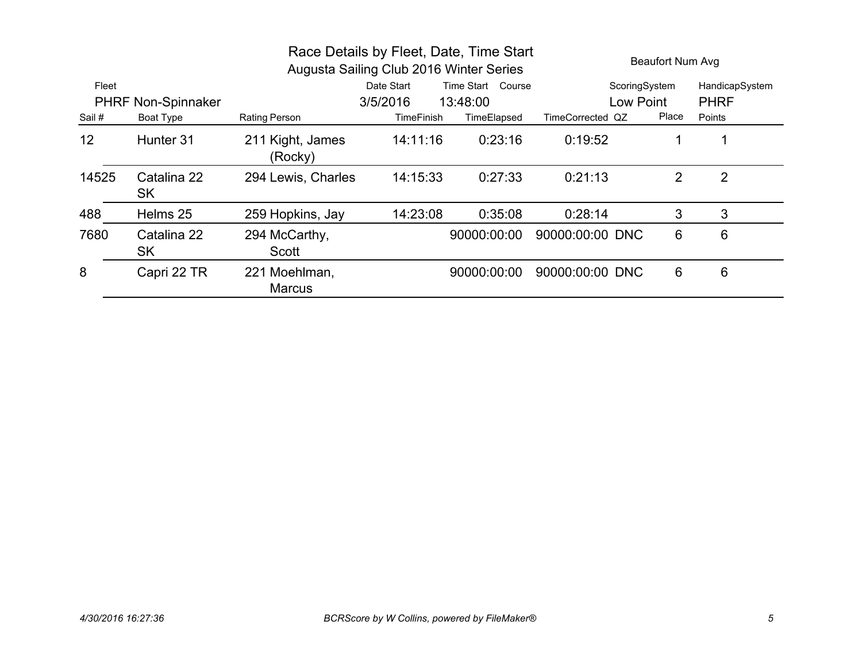|                           |                   |                                | Race Details by Fleet, Date, Time Start<br>Augusta Sailing Club 2016 Winter Series |             | Beaufort Num Avg |       |                |
|---------------------------|-------------------|--------------------------------|------------------------------------------------------------------------------------|-------------|------------------|-------|----------------|
| Fleet                     |                   |                                | Time Start Course<br>Date Start                                                    |             | ScoringSystem    |       | HandicapSystem |
| <b>PHRF Non-Spinnaker</b> |                   |                                | 3/5/2016                                                                           | 13:48:00    | Low Point        |       | <b>PHRF</b>    |
| Sail #                    | Boat Type         | Rating Person                  | TimeFinish                                                                         | TimeElapsed | TimeCorrected QZ | Place | Points         |
| 12                        | Hunter 31         | 211 Kight, James<br>(Rocky)    | 14:11:16                                                                           | 0:23:16     | 0:19:52          |       | 1              |
| 14525                     | Catalina 22<br>SK | 294 Lewis, Charles             | 14:15:33                                                                           | 0:27:33     | 0:21:13          | 2     | $\overline{2}$ |
| 488                       | Helms 25          | 259 Hopkins, Jay               | 14:23:08                                                                           | 0:35:08     | 0:28:14          | 3     | 3              |
| 7680                      | Catalina 22<br>SK | 294 McCarthy,<br>Scott         |                                                                                    | 90000:00:00 | 90000:00:00 DNC  | 6     | 6              |
| 8                         | Capri 22 TR       | 221 Moehlman,<br><b>Marcus</b> |                                                                                    | 90000:00:00 | 90000:00:00 DNC  | 6     | 6              |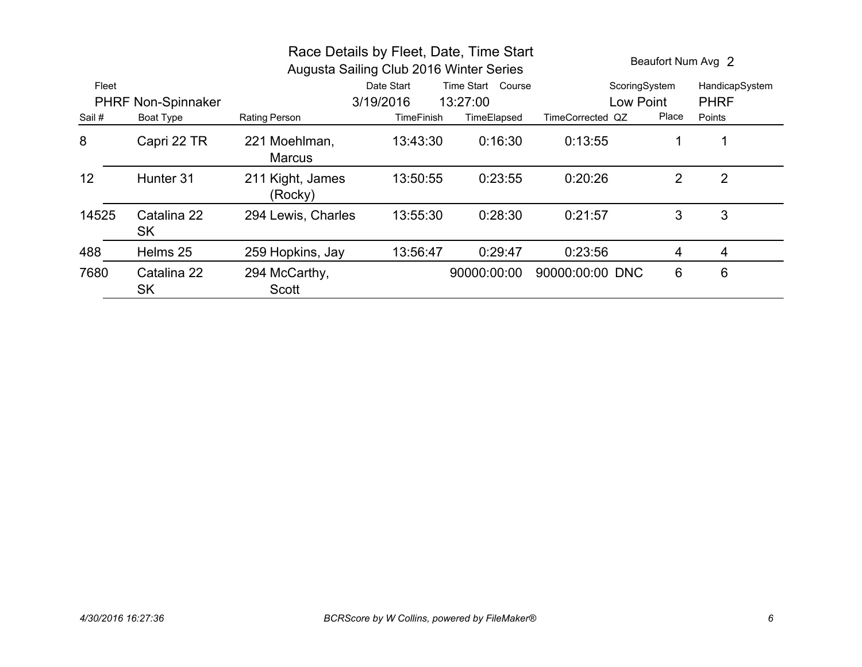| Race Details by Fleet, Date, Time Start<br>Augusta Sailing Club 2016 Winter Series |                           |                                |                                 |             | Beaufort Num Avg 2 |       |                |
|------------------------------------------------------------------------------------|---------------------------|--------------------------------|---------------------------------|-------------|--------------------|-------|----------------|
| Fleet                                                                              |                           |                                | Date Start<br>Time Start Course |             | ScoringSystem      |       | HandicapSystem |
|                                                                                    | <b>PHRF Non-Spinnaker</b> |                                | 3/19/2016                       | 13:27:00    | Low Point          |       | <b>PHRF</b>    |
| Sail #                                                                             | Boat Type                 | <b>Rating Person</b>           | <b>TimeFinish</b>               | TimeElapsed | TimeCorrected QZ   | Place | Points         |
| 8                                                                                  | Capri 22 TR               | 221 Moehlman,<br><b>Marcus</b> | 13:43:30                        | 0:16:30     | 0:13:55            | 1     |                |
| 12                                                                                 | Hunter 31                 | 211 Kight, James<br>(Rocky)    | 13:50:55                        | 0:23:55     | 0:20:26            | 2     | $\overline{2}$ |
| 14525                                                                              | Catalina 22<br><b>SK</b>  | 294 Lewis, Charles             | 13:55:30                        | 0:28:30     | 0:21:57            | 3     | 3              |
| 488                                                                                | Helms 25                  | 259 Hopkins, Jay               | 13:56:47                        | 0:29:47     | 0:23:56            | 4     | 4              |
| 7680                                                                               | Catalina 22<br><b>SK</b>  | 294 McCarthy,<br>Scott         |                                 | 90000:00:00 | 90000:00:00 DNC    | 6     | 6              |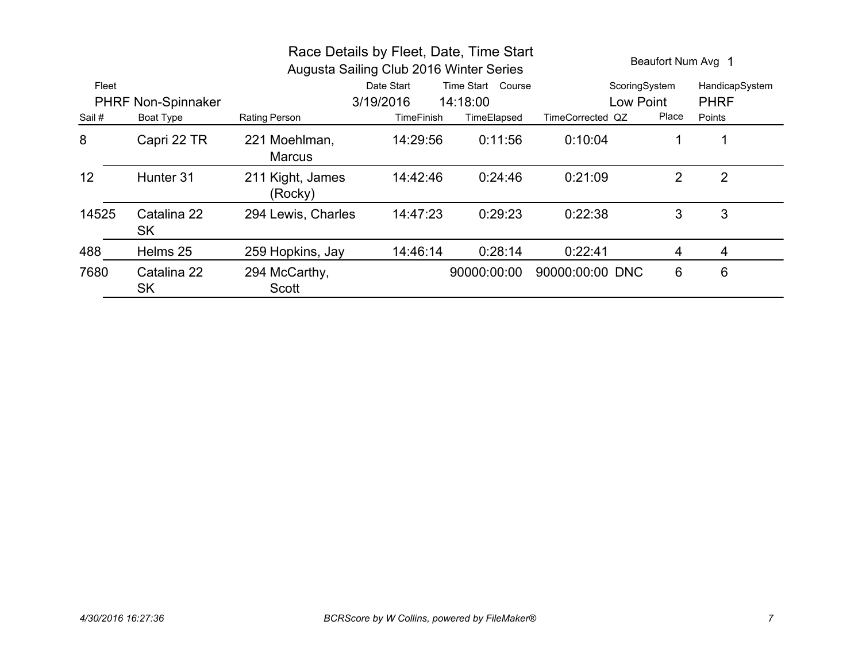| Race Details by Fleet, Date, Time Start<br>Augusta Sailing Club 2016 Winter Series |                          |                                |                                 |             |                  | Beaufort Num Avg 1 |                |
|------------------------------------------------------------------------------------|--------------------------|--------------------------------|---------------------------------|-------------|------------------|--------------------|----------------|
| Fleet                                                                              |                          |                                | Date Start<br>Time Start Course |             | ScoringSystem    |                    | HandicapSystem |
| <b>PHRF Non-Spinnaker</b>                                                          |                          |                                | 3/19/2016                       | 14:18:00    | Low Point        |                    | <b>PHRF</b>    |
| Sail #                                                                             | Boat Type                | Rating Person                  | TimeFinish                      | TimeElapsed | TimeCorrected QZ | Place              | Points         |
| 8                                                                                  | Capri 22 TR              | 221 Moehlman,<br><b>Marcus</b> | 14:29:56                        | 0:11:56     | 0:10:04          |                    |                |
| 12                                                                                 | Hunter 31                | 211 Kight, James<br>(Rocky)    | 14:42:46                        | 0:24:46     | 0:21:09          | $\overline{2}$     | $\overline{2}$ |
| 14525                                                                              | Catalina 22<br><b>SK</b> | 294 Lewis, Charles             | 14:47:23                        | 0:29:23     | 0:22:38          | 3                  | 3              |
| 488                                                                                | Helms 25                 | 259 Hopkins, Jay               | 14:46:14                        | 0:28:14     | 0:22:41          | 4                  | 4              |
| 7680                                                                               | Catalina 22<br><b>SK</b> | 294 McCarthy,<br>Scott         |                                 | 90000:00:00 | 90000:00:00 DNC  | 6                  | 6              |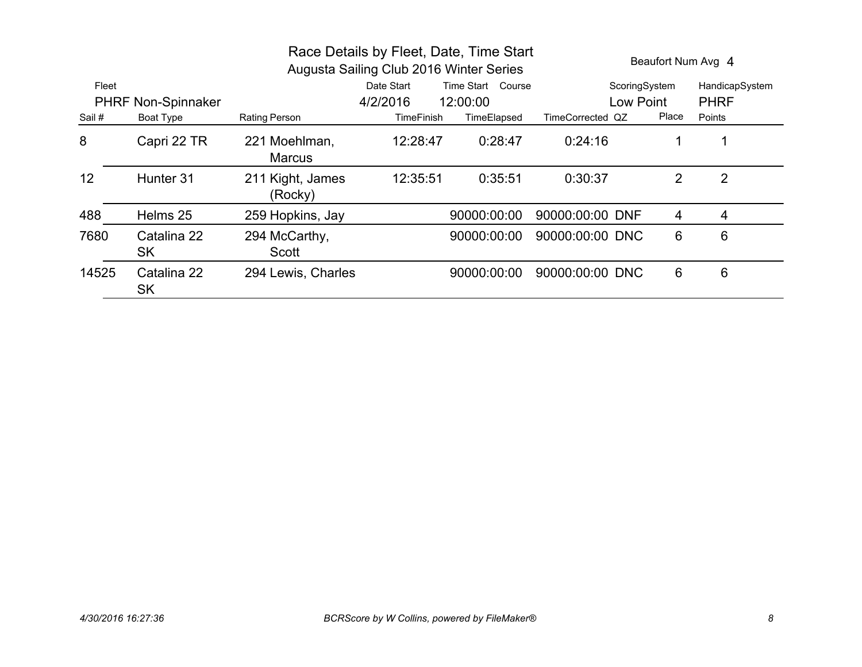| Race Details by Fleet, Date, Time Start<br>Augusta Sailing Club 2016 Winter Series |                           |                                |                   |                   |                  |                | Beaufort Num Avg 4 |  |
|------------------------------------------------------------------------------------|---------------------------|--------------------------------|-------------------|-------------------|------------------|----------------|--------------------|--|
| Fleet                                                                              |                           |                                | Date Start        | Time Start Course | ScoringSystem    |                | HandicapSystem     |  |
|                                                                                    | <b>PHRF Non-Spinnaker</b> |                                | 4/2/2016          | 12:00:00          | Low Point        |                | <b>PHRF</b>        |  |
| Sail #                                                                             | Boat Type                 | Rating Person                  | <b>TimeFinish</b> | TimeElapsed       | TimeCorrected QZ | Place          | Points             |  |
| 8                                                                                  | Capri 22 TR               | 221 Moehlman,<br><b>Marcus</b> | 12:28:47          | 0:28:47           | 0:24:16          | 1              |                    |  |
| 12                                                                                 | Hunter 31                 | 211 Kight, James<br>(Rocky)    | 12:35:51          | 0:35:51           | 0:30:37          | $\overline{2}$ | 2                  |  |
| 488                                                                                | Helms 25                  | 259 Hopkins, Jay               |                   | 90000:00:00       | 90000:00:00 DNF  | 4              | 4                  |  |
| 7680                                                                               | Catalina 22<br><b>SK</b>  | 294 McCarthy,<br>Scott         |                   | 90000:00:00       | 90000:00:00 DNC  | 6              | 6                  |  |
| 14525                                                                              | Catalina 22<br><b>SK</b>  | 294 Lewis, Charles             |                   | 90000:00:00       | 90000:00:00 DNC  | 6              | 6                  |  |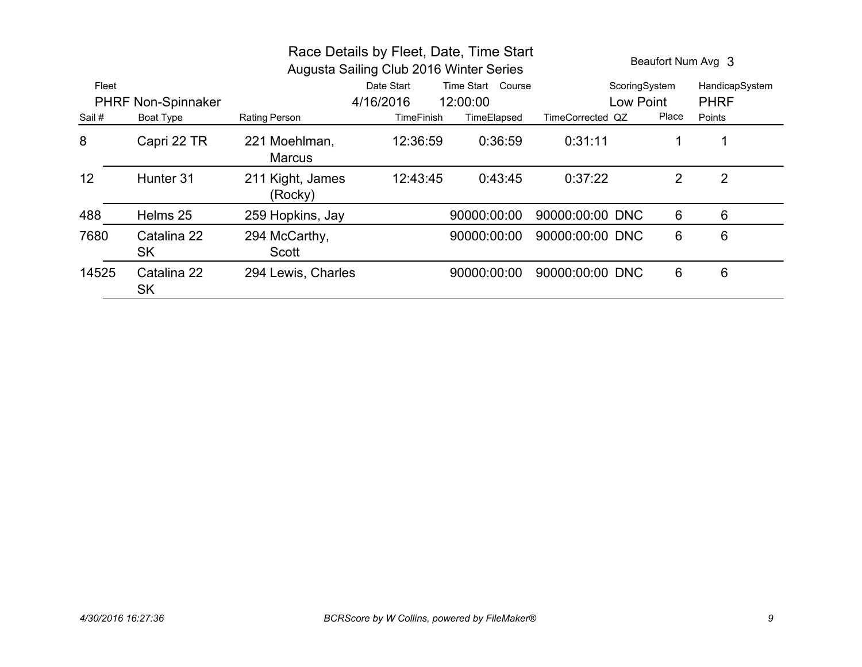| Race Details by Fleet, Date, Time Start<br>Augusta Sailing Club 2016 Winter Series |                          |                                |                   |                   |                  |       | Beaufort Num Avg 3 |
|------------------------------------------------------------------------------------|--------------------------|--------------------------------|-------------------|-------------------|------------------|-------|--------------------|
| Fleet                                                                              |                          |                                | Date Start        | Time Start Course | ScoringSystem    |       | HandicapSystem     |
| <b>PHRF Non-Spinnaker</b>                                                          |                          |                                | 4/16/2016         | 12:00:00          | <b>Low Point</b> |       | <b>PHRF</b>        |
| Sail #                                                                             | Boat Type                | Rating Person                  | <b>TimeFinish</b> | TimeElapsed       | TimeCorrected QZ | Place | Points             |
| 8                                                                                  | Capri 22 TR              | 221 Moehlman,<br><b>Marcus</b> | 12:36:59          | 0:36:59           | 0:31:11          | 1     |                    |
| 12                                                                                 | Hunter 31                | 211 Kight, James<br>(Rocky)    | 12:43:45          | 0:43:45           | 0:37:22          | 2     | 2                  |
| 488                                                                                | Helms 25                 | 259 Hopkins, Jay               |                   | 90000:00:00       | 90000:00:00 DNC  | 6     | 6                  |
| 7680                                                                               | Catalina 22<br><b>SK</b> | 294 McCarthy,<br>Scott         |                   | 90000:00:00       | 90000:00:00 DNC  | 6     | 6                  |
| 14525                                                                              | Catalina 22<br><b>SK</b> | 294 Lewis, Charles             |                   | 90000:00:00       | 90000:00:00 DNC  | 6     | 6                  |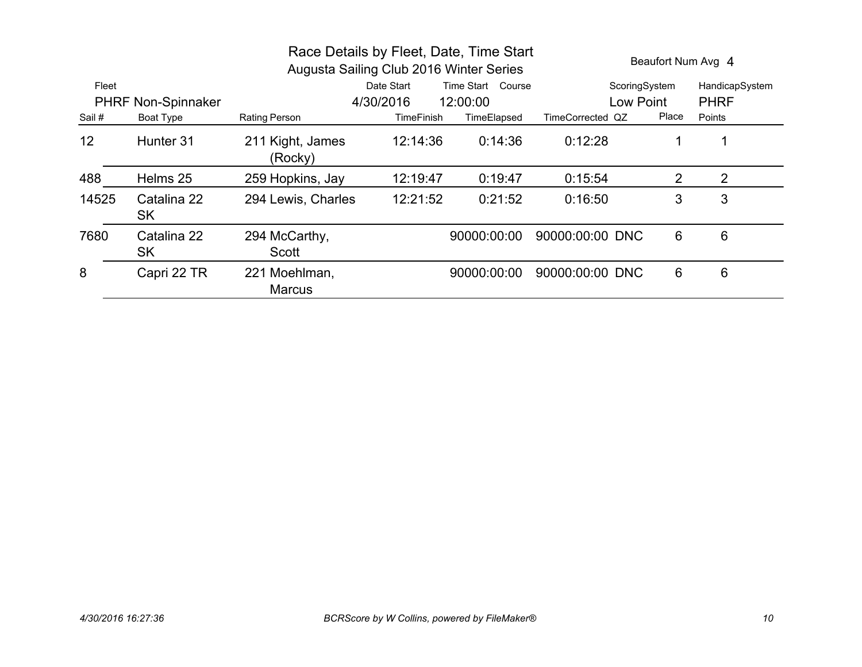|                           |                          | Race Details by Fleet, Date, Time Start<br>Augusta Sailing Club 2016 Winter Series | Beaufort Num Avg 4              |             |                  |       |                |
|---------------------------|--------------------------|------------------------------------------------------------------------------------|---------------------------------|-------------|------------------|-------|----------------|
| Fleet                     |                          |                                                                                    | Date Start<br>Time Start Course |             | ScoringSystem    |       | HandicapSystem |
| <b>PHRF Non-Spinnaker</b> |                          |                                                                                    | 4/30/2016                       | 12:00:00    | Low Point        |       | <b>PHRF</b>    |
| Sail #                    | Boat Type                | Rating Person                                                                      | <b>TimeFinish</b>               | TimeElapsed | TimeCorrected QZ | Place | Points         |
| 12                        | Hunter 31                | 211 Kight, James<br>(Rocky)                                                        | 12:14:36                        | 0:14:36     | 0:12:28          | 1     |                |
| 488                       | Helms 25                 | 259 Hopkins, Jay                                                                   | 12:19:47                        | 0:19:47     | 0:15:54          | 2     | 2              |
| 14525                     | Catalina 22<br><b>SK</b> | 294 Lewis, Charles                                                                 | 12:21:52                        | 0:21:52     | 0:16:50          | 3     | 3              |
| 7680                      | Catalina 22<br><b>SK</b> | 294 McCarthy,<br>Scott                                                             |                                 | 90000:00:00 | 90000:00:00 DNC  | 6     | 6              |
| 8                         | Capri 22 TR              | 221 Moehlman,<br><b>Marcus</b>                                                     |                                 | 90000:00:00 | 90000:00:00 DNC  | 6     | 6              |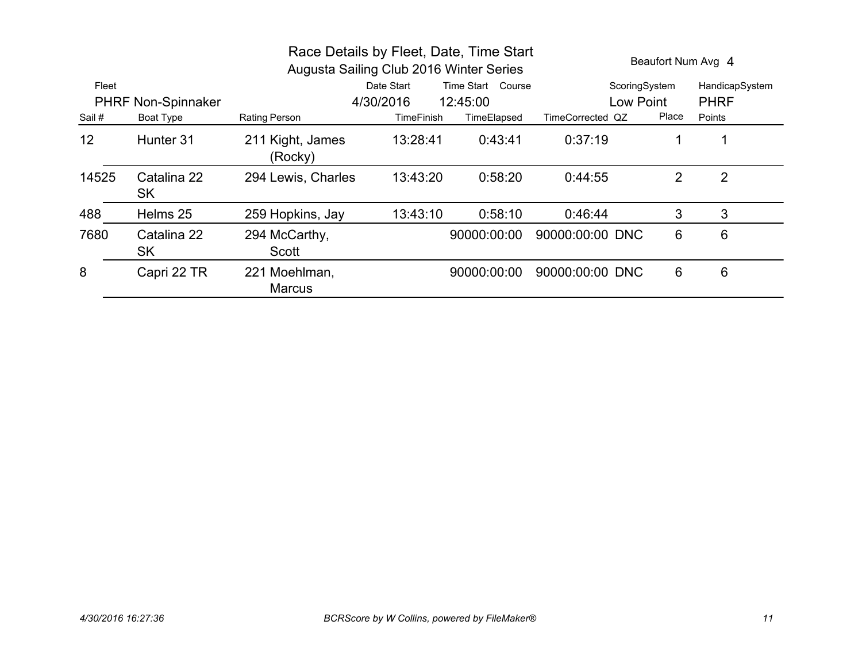| Race Details by Fleet, Date, Time Start<br>Augusta Sailing Club 2016 Winter Series |                   |                                |                                 |             |                  | Beaufort Num Avg 4 |                |  |  |
|------------------------------------------------------------------------------------|-------------------|--------------------------------|---------------------------------|-------------|------------------|--------------------|----------------|--|--|
| Fleet                                                                              |                   |                                | Date Start<br>Time Start Course |             | ScoringSystem    |                    | HandicapSystem |  |  |
| <b>PHRF Non-Spinnaker</b>                                                          |                   |                                | 4/30/2016                       | 12:45:00    | Low Point        |                    | <b>PHRF</b>    |  |  |
| Sail #                                                                             | Boat Type         | <b>Rating Person</b>           | <b>TimeFinish</b>               | TimeElapsed | TimeCorrected QZ | Place              | Points         |  |  |
| 12                                                                                 | Hunter 31         | 211 Kight, James<br>(Rocky)    | 13:28:41                        | 0:43:41     | 0:37:19          |                    | 1              |  |  |
| 14525                                                                              | Catalina 22<br>SK | 294 Lewis, Charles             | 13:43:20                        | 0:58:20     | 0:44:55          | $\overline{2}$     | $\overline{2}$ |  |  |
| 488                                                                                | Helms 25          | 259 Hopkins, Jay               | 13:43:10                        | 0:58:10     | 0:46:44          | 3                  | 3              |  |  |
| 7680                                                                               | Catalina 22<br>SK | 294 McCarthy,<br>Scott         |                                 | 90000:00:00 | 90000:00:00 DNC  | 6                  | 6              |  |  |
| 8                                                                                  | Capri 22 TR       | 221 Moehlman,<br><b>Marcus</b> |                                 | 90000:00:00 | 90000:00:00 DNC  | 6                  | 6              |  |  |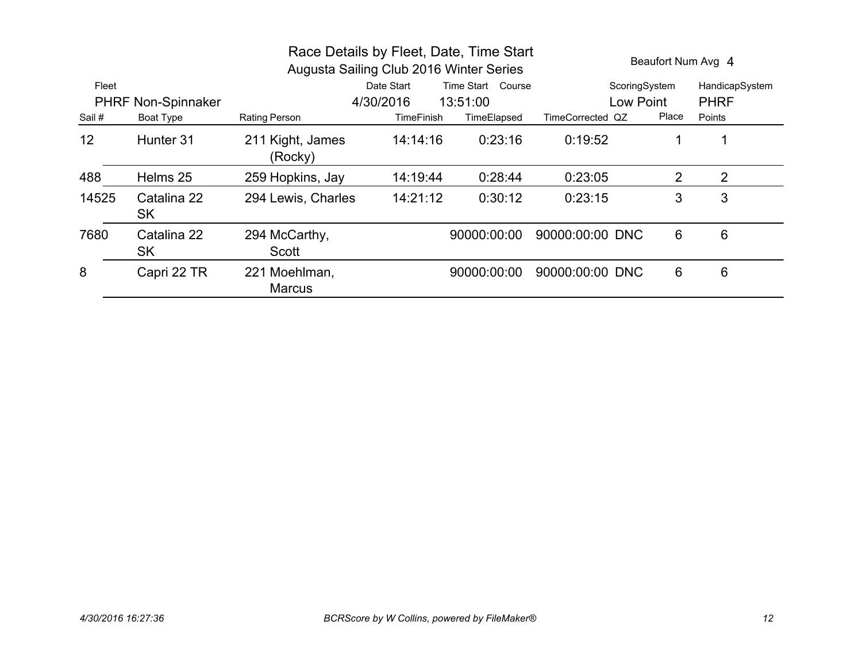|                           |                          | Race Details by Fleet, Date, Time Start<br>Augusta Sailing Club 2016 Winter Series | Beaufort Num Avg 4              |             |                  |       |                |
|---------------------------|--------------------------|------------------------------------------------------------------------------------|---------------------------------|-------------|------------------|-------|----------------|
| Fleet                     |                          |                                                                                    | Time Start Course<br>Date Start |             | ScoringSystem    |       | HandicapSystem |
| <b>PHRF Non-Spinnaker</b> |                          |                                                                                    | 4/30/2016                       | 13:51:00    | Low Point        |       | <b>PHRF</b>    |
| Sail #                    | Boat Type                | Rating Person                                                                      | <b>TimeFinish</b>               | TimeElapsed | TimeCorrected QZ | Place | Points         |
| 12                        | Hunter 31                | 211 Kight, James<br>(Rocky)                                                        | 14:14:16                        | 0:23:16     | 0:19:52          | 1     |                |
| 488                       | Helms 25                 | 259 Hopkins, Jay                                                                   | 14:19:44                        | 0:28:44     | 0:23:05          | 2     | 2              |
| 14525                     | Catalina 22<br><b>SK</b> | 294 Lewis, Charles                                                                 | 14:21:12                        | 0:30:12     | 0:23:15          | 3     | 3              |
| 7680                      | Catalina 22<br><b>SK</b> | 294 McCarthy,<br>Scott                                                             |                                 | 90000:00:00 | 90000:00:00 DNC  | 6     | 6              |
| 8                         | Capri 22 TR              | 221 Moehlman,<br><b>Marcus</b>                                                     |                                 | 90000:00:00 | 90000:00:00 DNC  | 6     | 6              |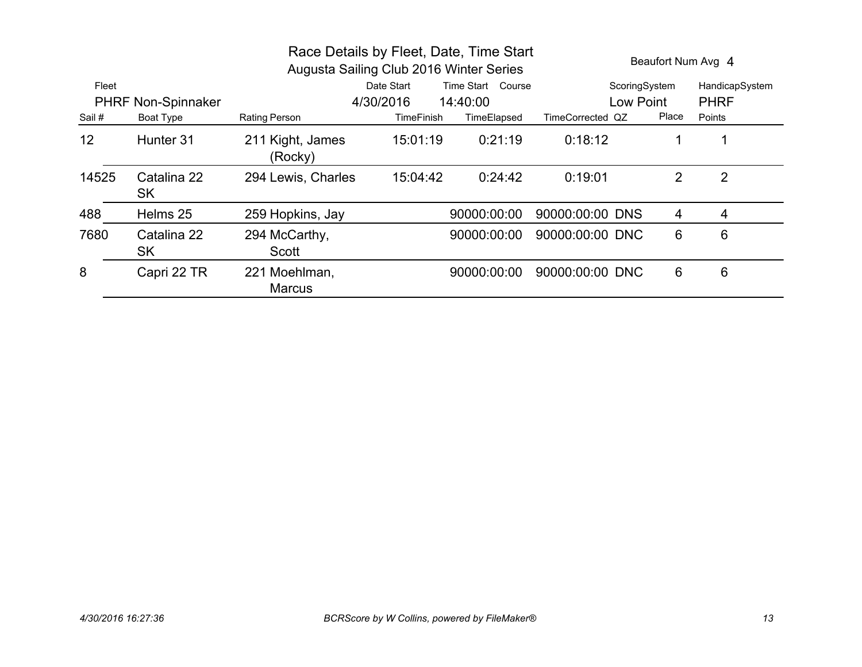|                           |                   |                                | Race Details by Fleet, Date, Time Start<br>Augusta Sailing Club 2016 Winter Series |                   |                  | Beaufort Num Avg 4 |                |  |
|---------------------------|-------------------|--------------------------------|------------------------------------------------------------------------------------|-------------------|------------------|--------------------|----------------|--|
| Fleet                     |                   |                                | Date Start                                                                         | Time Start Course | ScoringSystem    |                    | HandicapSystem |  |
| <b>PHRF Non-Spinnaker</b> |                   |                                | 4/30/2016                                                                          | 14:40:00          | Low Point        |                    | <b>PHRF</b>    |  |
| Sail #                    | Boat Type         | Rating Person                  | TimeFinish                                                                         | TimeElapsed       | TimeCorrected QZ | Place              | Points         |  |
| 12                        | Hunter 31         | 211 Kight, James<br>(Rocky)    | 15:01:19                                                                           | 0:21:19           | 0:18:12          |                    | 1              |  |
| 14525                     | Catalina 22<br>SK | 294 Lewis, Charles             | 15:04:42                                                                           | 0:24:42           | 0:19:01          | 2                  | $\overline{2}$ |  |
| 488                       | Helms 25          | 259 Hopkins, Jay               |                                                                                    | 90000:00:00       | 90000:00:00 DNS  | 4                  | 4              |  |
| 7680                      | Catalina 22<br>SK | 294 McCarthy,<br>Scott         |                                                                                    | 90000:00:00       | 90000:00:00 DNC  | 6                  | 6              |  |
| 8                         | Capri 22 TR       | 221 Moehlman,<br><b>Marcus</b> |                                                                                    | 90000:00:00       | 90000:00:00 DNC  | 6                  | 6              |  |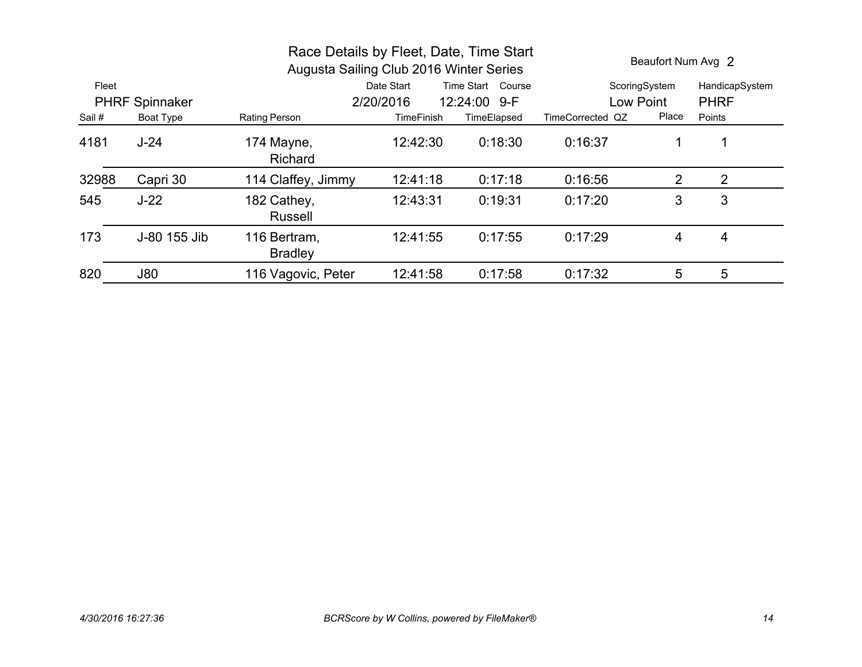| Race Details by Fleet, Date, Time Start<br>Augusta Sailing Club 2016 Winter Series |                       |                                |                   |                   |                  | Beaufort Num Avg 2 |                |  |
|------------------------------------------------------------------------------------|-----------------------|--------------------------------|-------------------|-------------------|------------------|--------------------|----------------|--|
| Fleet                                                                              |                       |                                | Date Start        | Time Start Course |                  | ScoringSystem      | HandicapSystem |  |
|                                                                                    | <b>PHRF Spinnaker</b> |                                | 2/20/2016         | 12:24:00 9-F      | Low Point        |                    | <b>PHRF</b>    |  |
| Sail #                                                                             | Boat Type             | Rating Person                  | <b>TimeFinish</b> | TimeElapsed       | TimeCorrected QZ | Place              | Points         |  |
| 4181                                                                               | $J-24$                | 174 Mayne,<br><b>Richard</b>   | 12:42:30          | 0:18:30           | 0:16:37          |                    |                |  |
| 32988                                                                              | Capri 30              | 114 Claffey, Jimmy             | 12:41:18          | 0:17:18           | 0:16:56          | 2                  | 2              |  |
| 545                                                                                | $J-22$                | 182 Cathey,<br><b>Russell</b>  | 12:43:31          | 0:19:31           | 0:17:20          | 3                  | 3              |  |
| 173                                                                                | J-80 155 Jib          | 116 Bertram,<br><b>Bradley</b> | 12:41:55          | 0:17:55           | 0:17:29          | 4                  | 4              |  |
| 820                                                                                | <b>J80</b>            | 116 Vagovic, Peter             | 12:41:58          | 0:17:58           | 0:17:32          | 5                  | 5              |  |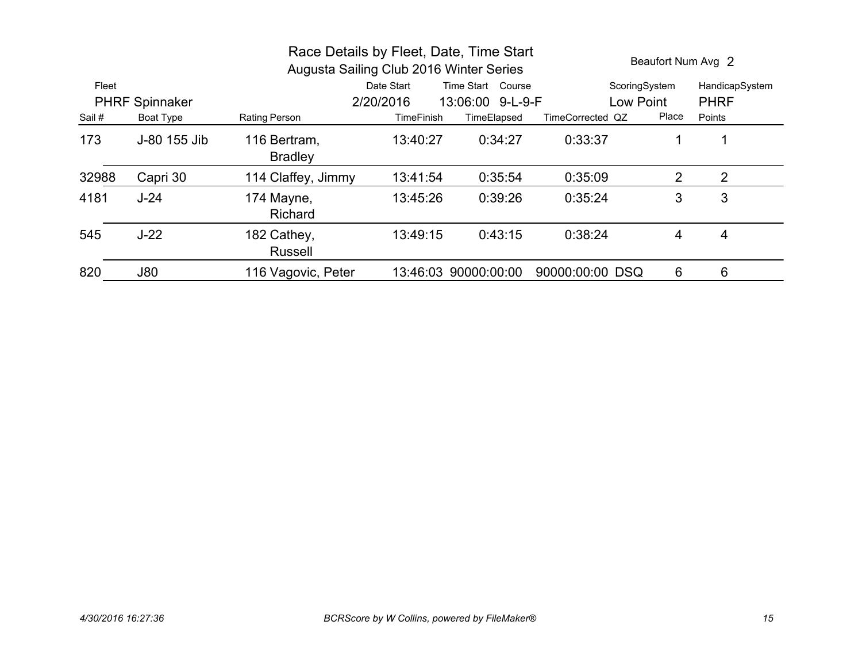| Race Details by Fleet, Date, Time Start<br>Augusta Sailing Club 2016 Winter Series |                       |                                |                   |                      |                  | Beaufort Num Avg 2 |                |
|------------------------------------------------------------------------------------|-----------------------|--------------------------------|-------------------|----------------------|------------------|--------------------|----------------|
| Fleet                                                                              |                       |                                | Date Start        | Time Start Course    |                  | ScoringSystem      | HandicapSystem |
|                                                                                    | <b>PHRF Spinnaker</b> |                                | 2/20/2016         | 13:06:00 9-L-9-F     |                  | Low Point          | <b>PHRF</b>    |
| Sail #                                                                             | Boat Type             | Rating Person                  | <b>TimeFinish</b> | TimeElapsed          | TimeCorrected QZ | Place              | Points         |
| 173                                                                                | J-80 155 Jib          | 116 Bertram.<br><b>Bradley</b> | 13:40:27          | 0:34:27              | 0:33:37          |                    |                |
| 32988                                                                              | Capri 30              | 114 Claffey, Jimmy             | 13:41:54          | 0:35:54              | 0:35:09          | 2                  | 2              |
| 4181                                                                               | $J-24$                | 174 Mayne,<br><b>Richard</b>   | 13:45:26          | 0:39:26              | 0:35:24          | 3                  | 3              |
| 545                                                                                | $J-22$                | 182 Cathey,<br><b>Russell</b>  | 13:49:15          | 0:43:15              | 0:38:24          | 4                  | 4              |
| 820                                                                                | <b>J80</b>            | 116 Vagovic, Peter             |                   | 13:46:03 90000:00:00 | 90000:00:00 DSQ  | 6                  | 6              |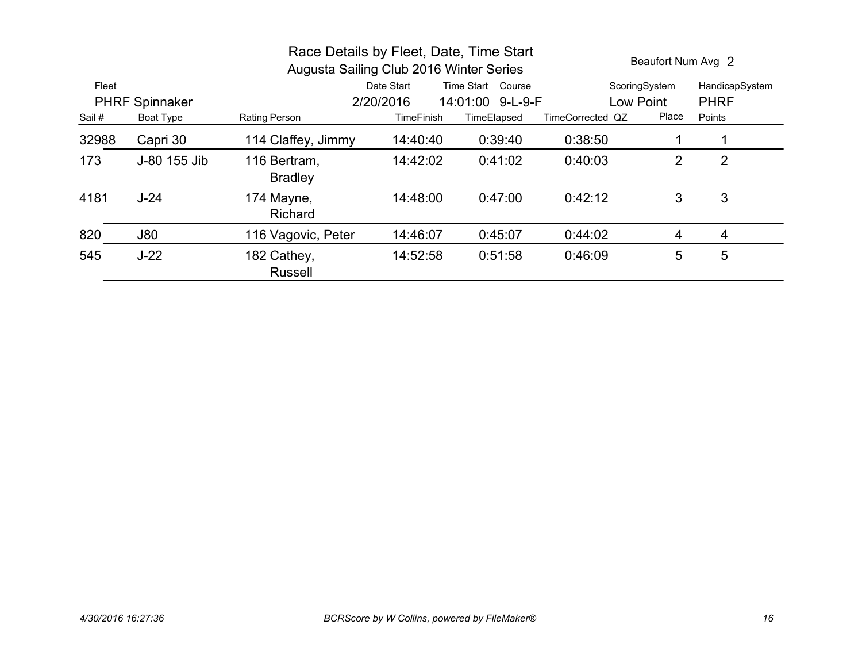|        |                       | Race Details by Fleet, Date, Time Start<br>Augusta Sailing Club 2016 Winter Series |                   | Beaufort Num Avg 2 |                  |               |                |
|--------|-----------------------|------------------------------------------------------------------------------------|-------------------|--------------------|------------------|---------------|----------------|
| Fleet  |                       |                                                                                    | Date Start        | Time Start Course  |                  | ScoringSystem | HandicapSystem |
|        | <b>PHRF Spinnaker</b> |                                                                                    | 2/20/2016         | 14:01:00 9-L-9-F   | Low Point        |               | <b>PHRF</b>    |
| Sail # | Boat Type             | Rating Person                                                                      | <b>TimeFinish</b> | TimeElapsed        | TimeCorrected QZ | Place         | Points         |
| 32988  | Capri 30              | 114 Claffey, Jimmy                                                                 | 14:40:40          | 0:39:40            | 0:38:50          |               |                |
| 173    | J-80 155 Jib          | 116 Bertram,<br><b>Bradley</b>                                                     | 14:42:02          | 0:41:02            | 0:40:03          | 2             | $\overline{2}$ |
| 4181   | $J-24$                | 174 Mayne,<br><b>Richard</b>                                                       | 14:48:00          | 0:47:00            | 0:42:12          | 3             | 3              |
| 820    | <b>J80</b>            | 116 Vagovic, Peter                                                                 | 14:46:07          | 0:45:07            | 0:44:02          | 4             | 4              |
| 545    | $J-22$                | 182 Cathey,<br><b>Russell</b>                                                      | 14:52:58          | 0:51:58            | 0:46:09          | 5             | 5              |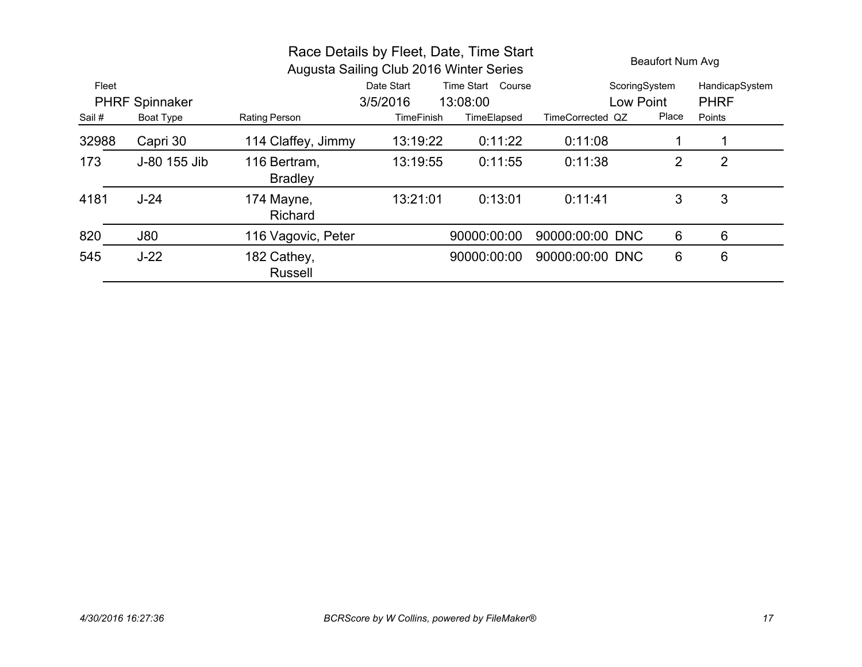|        |                       | Race Details by Fleet, Date, Time Start<br>Augusta Sailing Club 2016 Winter Series |                   | <b>Beaufort Num Avg</b> |                  |                |                |
|--------|-----------------------|------------------------------------------------------------------------------------|-------------------|-------------------------|------------------|----------------|----------------|
| Fleet  |                       |                                                                                    | Date Start        | Time Start Course       | ScoringSystem    |                | HandicapSystem |
|        | <b>PHRF Spinnaker</b> |                                                                                    | 3/5/2016          | 13:08:00                | Low Point        |                | <b>PHRF</b>    |
| Sail # | <b>Boat Type</b>      | Rating Person                                                                      | <b>TimeFinish</b> | TimeElapsed             | TimeCorrected QZ | Place          | Points         |
| 32988  | Capri 30              | 114 Claffey, Jimmy                                                                 | 13:19:22          | 0:11:22                 | 0:11:08          |                |                |
| 173    | J-80 155 Jib          | 116 Bertram,<br><b>Bradley</b>                                                     | 13:19:55          | 0:11:55                 | 0:11:38          | $\overline{2}$ | $\overline{2}$ |
| 4181   | $J-24$                | 174 Mayne,<br>Richard                                                              | 13:21:01          | 0:13:01                 | 0:11:41          | 3              | 3              |
| 820    | <b>J80</b>            | 116 Vagovic, Peter                                                                 |                   | 90000:00:00             | 90000:00:00 DNC  | 6              | 6              |
| 545    | $J-22$                | 182 Cathey,<br><b>Russell</b>                                                      |                   | 90000:00:00             | 90000:00:00 DNC  | 6              | 6              |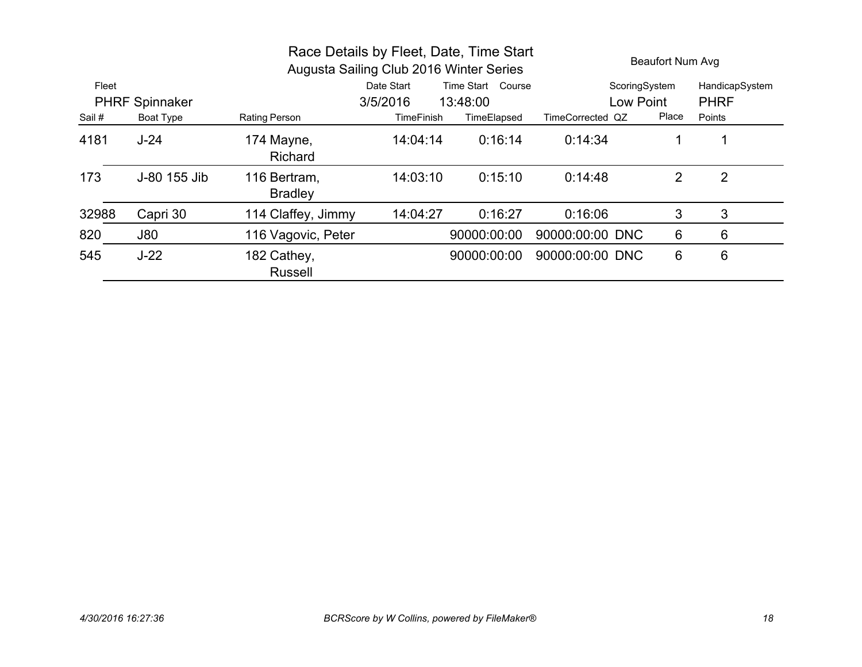| Race Details by Fleet, Date, Time Start<br>Augusta Sailing Club 2016 Winter Series |                       |                                |                   |                   | <b>Beaufort Num Avg</b> |       |                |  |
|------------------------------------------------------------------------------------|-----------------------|--------------------------------|-------------------|-------------------|-------------------------|-------|----------------|--|
| Fleet                                                                              |                       |                                | Date Start        | Time Start Course | ScoringSystem           |       | HandicapSystem |  |
|                                                                                    | <b>PHRF Spinnaker</b> |                                | 3/5/2016          | 13:48:00          | Low Point               |       | <b>PHRF</b>    |  |
| Sail #                                                                             | Boat Type             | <b>Rating Person</b>           | <b>TimeFinish</b> | TimeElapsed       | TimeCorrected QZ        | Place | Points         |  |
| 4181                                                                               | $J-24$                | 174 Mayne,<br><b>Richard</b>   | 14:04:14          | 0:16:14           | 0:14:34                 | 1     |                |  |
| 173                                                                                | J-80 155 Jib          | 116 Bertram,<br><b>Bradley</b> | 14:03:10          | 0:15:10           | 0:14:48                 | 2     | 2              |  |
| 32988                                                                              | Capri 30              | 114 Claffey, Jimmy             | 14:04:27          | 0:16:27           | 0:16:06                 | 3     | 3              |  |
| 820                                                                                | <b>J80</b>            | 116 Vagovic, Peter             |                   | 90000:00:00       | 90000:00:00 DNC         | 6     | 6              |  |
| 545                                                                                | $J-22$                | 182 Cathey,<br><b>Russell</b>  |                   | 90000:00:00       | 90000:00:00 DNC         | 6     | 6              |  |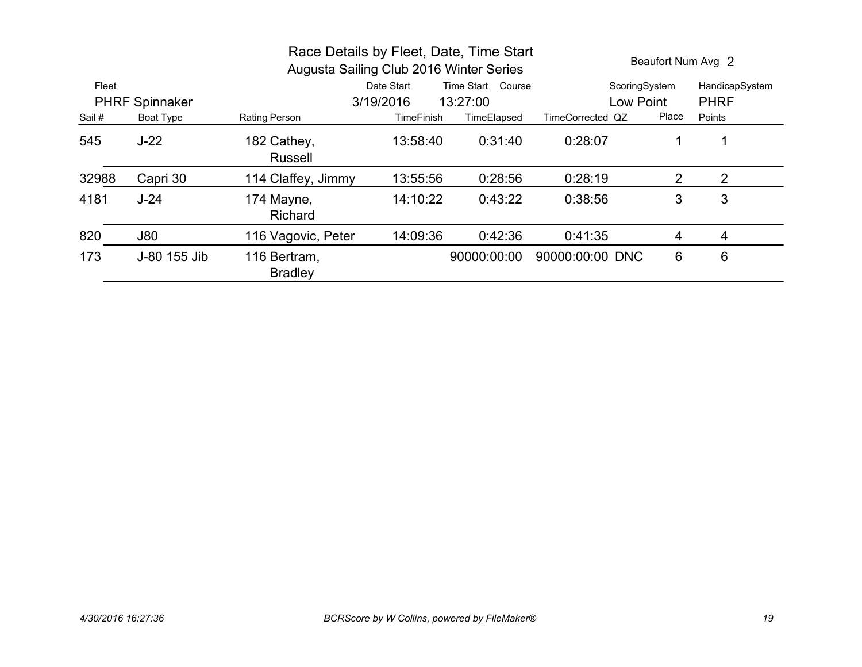| Race Details by Fleet, Date, Time Start<br>Augusta Sailing Club 2016 Winter Series |                                                             |                                |                   |                   |                  |       | Beaufort Num Avg 2 |
|------------------------------------------------------------------------------------|-------------------------------------------------------------|--------------------------------|-------------------|-------------------|------------------|-------|--------------------|
| Fleet                                                                              |                                                             |                                | Date Start        | Time Start Course | ScoringSystem    |       | HandicapSystem     |
|                                                                                    | 3/19/2016<br><b>PHRF Spinnaker</b><br>13:27:00<br>Low Point |                                |                   | <b>PHRF</b>       |                  |       |                    |
| Sail #                                                                             | <b>Boat Type</b>                                            | Rating Person                  | <b>TimeFinish</b> | TimeElapsed       | TimeCorrected QZ | Place | Points             |
| 545                                                                                | $J-22$                                                      | 182 Cathey,<br><b>Russell</b>  | 13:58:40          | 0:31:40           | 0:28:07          |       |                    |
| 32988                                                                              | Capri 30                                                    | 114 Claffey, Jimmy             | 13:55:56          | 0:28:56           | 0:28:19          | 2     | 2                  |
| 4181                                                                               | $J-24$                                                      | 174 Mayne,<br><b>Richard</b>   | 14:10:22          | 0:43:22           | 0:38:56          | 3     | 3                  |
| 820                                                                                | J80                                                         | 116 Vagovic, Peter             | 14:09:36          | 0:42:36           | 0:41:35          | 4     | 4                  |
| 173                                                                                | J-80 155 Jib                                                | 116 Bertram,<br><b>Bradley</b> |                   | 90000:00:00       | 90000:00:00 DNC  | 6     | 6                  |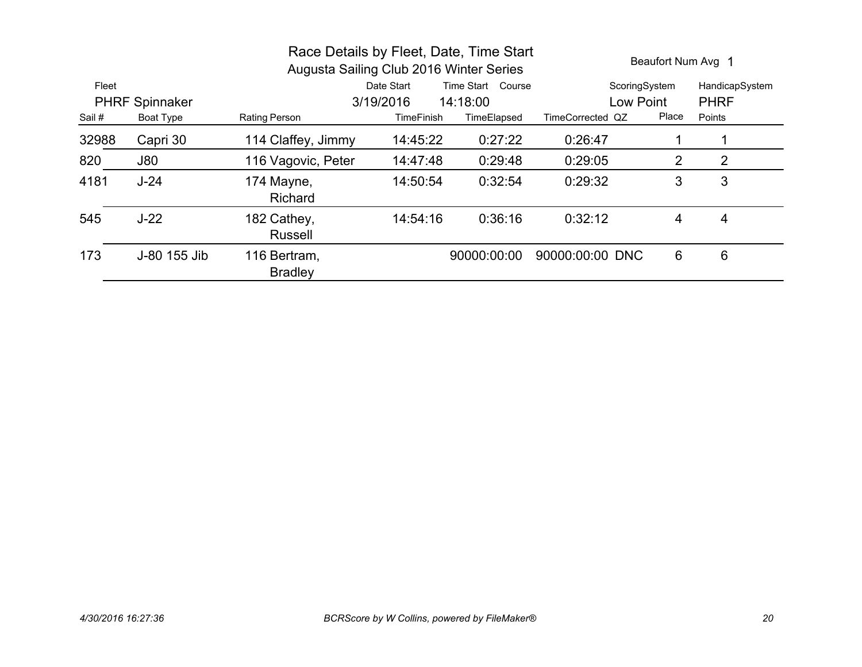|        |                       | Race Details by Fleet, Date, Time Start<br>Augusta Sailing Club 2016 Winter Series |                   |                   | Beaufort Num Avg 1 |           |                |
|--------|-----------------------|------------------------------------------------------------------------------------|-------------------|-------------------|--------------------|-----------|----------------|
| Fleet  |                       |                                                                                    | Date Start        | Time Start Course | ScoringSystem      |           | HandicapSystem |
|        | <b>PHRF Spinnaker</b> |                                                                                    | 3/19/2016         | 14:18:00          |                    | Low Point |                |
| Sail # | <b>Boat Type</b>      | Rating Person                                                                      | <b>TimeFinish</b> | TimeElapsed       | TimeCorrected QZ   | Place     | Points         |
| 32988  | Capri 30              | 114 Claffey, Jimmy                                                                 | 14:45:22          | 0:27:22           | 0:26:47            |           |                |
| 820    | <b>J80</b>            | 116 Vagovic, Peter                                                                 | 14:47:48          | 0:29:48           | 0:29:05            | 2         | 2              |
| 4181   | $J-24$                | 174 Mayne,<br>Richard                                                              | 14:50:54          | 0:32:54           | 0:29:32            | 3         | 3              |
| 545    | $J-22$                | 182 Cathey,<br><b>Russell</b>                                                      | 14:54:16          | 0:36:16           | 0:32:12            | 4         | 4              |
| 173    | J-80 155 Jib          | 116 Bertram,<br><b>Bradley</b>                                                     |                   | 90000:00:00       | 90000:00:00 DNC    | 6         | 6              |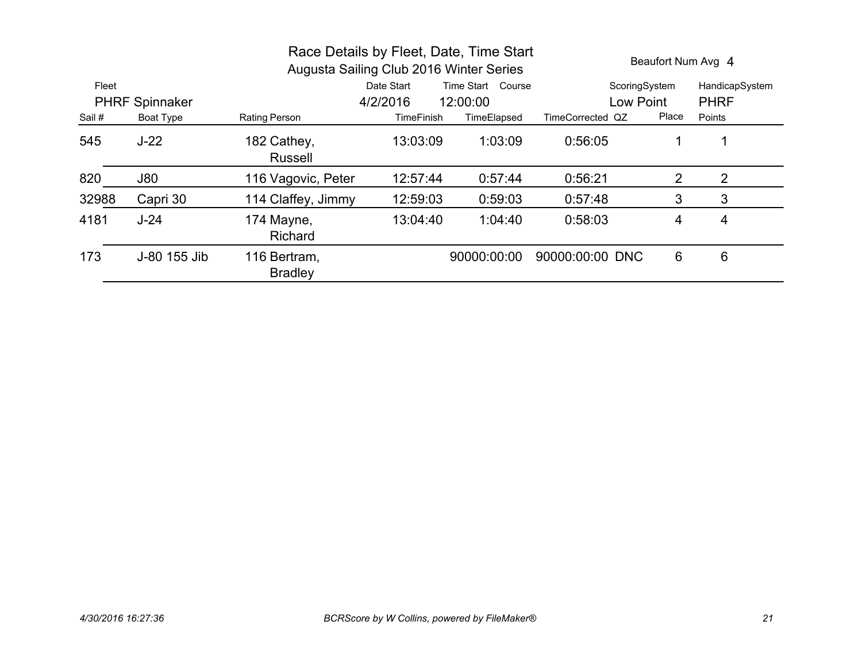| Race Details by Fleet, Date, Time Start<br>Augusta Sailing Club 2016 Winter Series |                       |                                |                   |                   |                  |       | Beaufort Num Avg 4 |
|------------------------------------------------------------------------------------|-----------------------|--------------------------------|-------------------|-------------------|------------------|-------|--------------------|
| Fleet                                                                              |                       |                                | Date Start        | Time Start Course | ScoringSystem    |       | HandicapSystem     |
|                                                                                    | <b>PHRF Spinnaker</b> |                                | 4/2/2016          | 12:00:00          | Low Point        |       | <b>PHRF</b>        |
| Sail #                                                                             | <b>Boat Type</b>      | Rating Person                  | <b>TimeFinish</b> | TimeElapsed       | TimeCorrected QZ | Place | Points             |
| 545                                                                                | $J-22$                | 182 Cathey,<br><b>Russell</b>  | 13:03:09          | 1:03:09           | 0:56:05          |       |                    |
| 820                                                                                | J80                   | 116 Vagovic, Peter             | 12:57:44          | 0:57:44           | 0:56:21          | 2     | 2                  |
| 32988                                                                              | Capri 30              | 114 Claffey, Jimmy             | 12:59:03          | 0:59:03           | 0:57:48          | 3     | 3                  |
| 4181                                                                               | $J-24$                | 174 Mayne,<br><b>Richard</b>   | 13:04:40          | 1:04:40           | 0:58:03          | 4     | 4                  |
| 173                                                                                | J-80 155 Jib          | 116 Bertram,<br><b>Bradley</b> |                   | 90000:00:00       | 90000:00:00 DNC  | 6     | 6                  |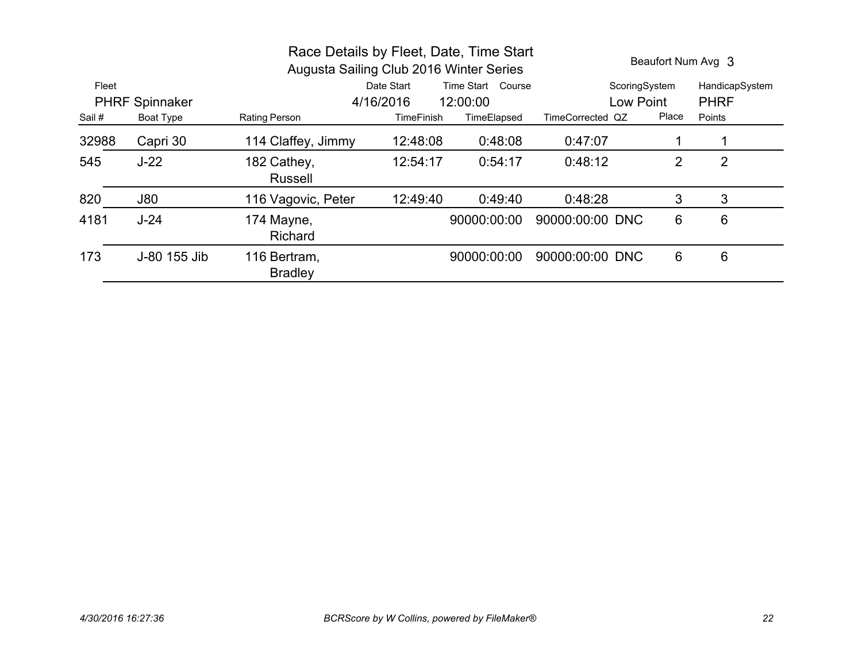|        |                       | Race Details by Fleet, Date, Time Start<br>Augusta Sailing Club 2016 Winter Series |                   | Beaufort Num Avg 3 |                  |       |                |
|--------|-----------------------|------------------------------------------------------------------------------------|-------------------|--------------------|------------------|-------|----------------|
| Fleet  |                       |                                                                                    | Date Start        | Time Start Course  | ScoringSystem    |       | HandicapSystem |
|        | <b>PHRF Spinnaker</b> |                                                                                    | 4/16/2016         | 12:00:00           | Low Point        |       | <b>PHRF</b>    |
| Sail # | <b>Boat Type</b>      | Rating Person                                                                      | <b>TimeFinish</b> | TimeElapsed        | TimeCorrected QZ | Place | Points         |
| 32988  | Capri 30              | 114 Claffey, Jimmy                                                                 | 12:48:08          | 0:48:08            | 0:47:07          |       |                |
| 545    | $J-22$                | 182 Cathey,<br><b>Russell</b>                                                      | 12:54:17          | 0:54:17            | 0:48:12          | 2     | $\overline{2}$ |
| 820    | J80                   | 116 Vagovic, Peter                                                                 | 12:49:40          | 0:49:40            | 0:48:28          | 3     | 3              |
| 4181   | $J-24$                | 174 Mayne,<br>Richard                                                              |                   | 90000:00:00        | 90000:00:00 DNC  | 6     | 6              |
| 173    | J-80 155 Jib          | 116 Bertram,<br><b>Bradley</b>                                                     |                   | 90000:00:00        | 90000:00:00 DNC  | 6     | 6              |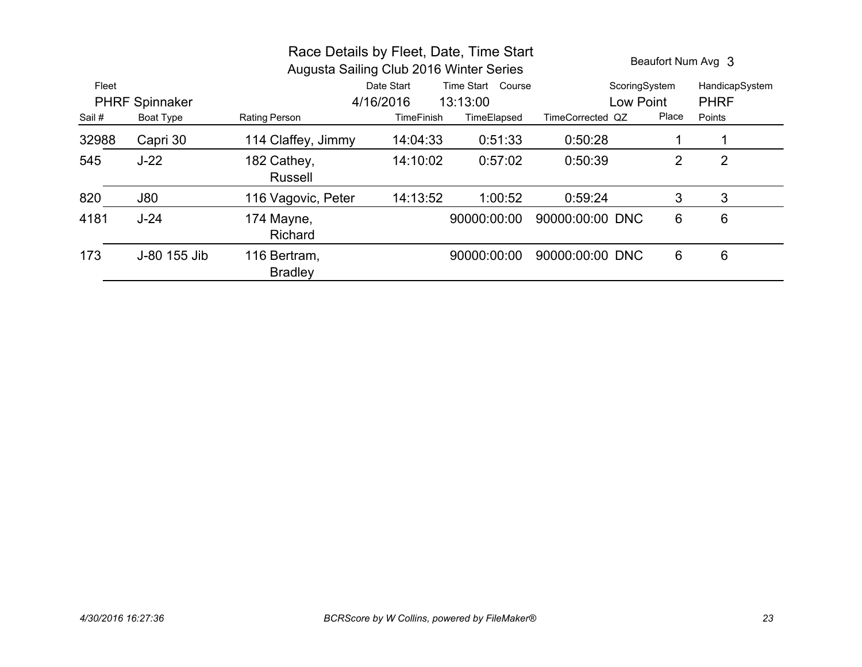|        |                       | Race Details by Fleet, Date, Time Start<br>Augusta Sailing Club 2016 Winter Series |                   | Beaufort Num Avg 3 |                  |       |                |
|--------|-----------------------|------------------------------------------------------------------------------------|-------------------|--------------------|------------------|-------|----------------|
| Fleet  |                       |                                                                                    | Date Start        | Time Start Course  | ScoringSystem    |       | HandicapSystem |
|        | <b>PHRF Spinnaker</b> |                                                                                    | 4/16/2016         | 13:13:00           | Low Point        |       | <b>PHRF</b>    |
| Sail # | <b>Boat Type</b>      | <b>Rating Person</b>                                                               | <b>TimeFinish</b> | TimeElapsed        | TimeCorrected QZ | Place | Points         |
| 32988  | Capri 30              | 114 Claffey, Jimmy                                                                 | 14:04:33          | 0:51:33            | 0:50:28          |       |                |
| 545    | $J-22$                | 182 Cathey,<br><b>Russell</b>                                                      | 14:10:02          | 0:57:02            | 0:50:39          | 2     | $\overline{2}$ |
| 820    | <b>J80</b>            | 116 Vagovic, Peter                                                                 | 14:13:52          | 1:00:52            | 0:59:24          | 3     | 3              |
| 4181   | $J-24$                | 174 Mayne,<br><b>Richard</b>                                                       |                   | 90000:00:00        | 90000:00:00 DNC  | 6     | 6              |
| 173    | J-80 155 Jib          | 116 Bertram,<br><b>Bradley</b>                                                     |                   | 90000:00:00        | 90000:00:00 DNC  | 6     | 6              |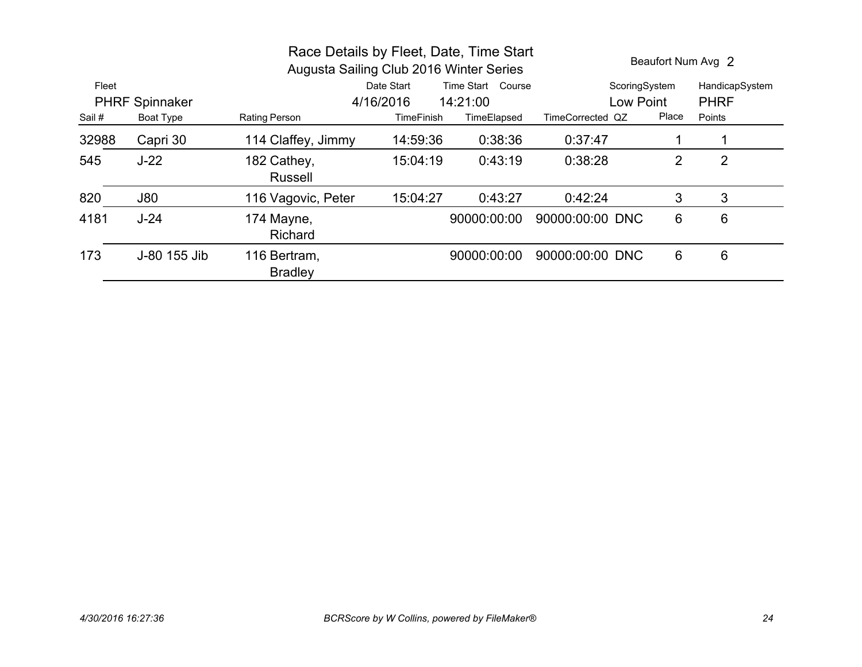|        |                       | Race Details by Fleet, Date, Time Start<br>Augusta Sailing Club 2016 Winter Series |                   | Beaufort Num Avg 2 |                  |       |                |
|--------|-----------------------|------------------------------------------------------------------------------------|-------------------|--------------------|------------------|-------|----------------|
| Fleet  |                       |                                                                                    | Date Start        | Time Start Course  | ScoringSystem    |       | HandicapSystem |
|        | <b>PHRF Spinnaker</b> |                                                                                    | 4/16/2016         | 14:21:00           | Low Point        |       | <b>PHRF</b>    |
| Sail # | <b>Boat Type</b>      | Rating Person                                                                      | <b>TimeFinish</b> | TimeElapsed        | TimeCorrected QZ | Place | Points         |
| 32988  | Capri 30              | 114 Claffey, Jimmy                                                                 | 14:59:36          | 0:38:36            | 0:37:47          |       |                |
| 545    | $J-22$                | 182 Cathey,<br><b>Russell</b>                                                      | 15:04:19          | 0:43:19            | 0:38:28          | 2     | 2              |
| 820    | <b>J80</b>            | 116 Vagovic, Peter                                                                 | 15:04:27          | 0:43:27            | 0:42:24          | 3     | 3              |
| 4181   | $J-24$                | 174 Mayne,<br>Richard                                                              |                   | 90000:00:00        | 90000:00:00 DNC  | 6     | 6              |
| 173    | J-80 155 Jib          | 116 Bertram,<br><b>Bradley</b>                                                     |                   | 90000:00:00        | 90000:00:00 DNC  | 6     | 6              |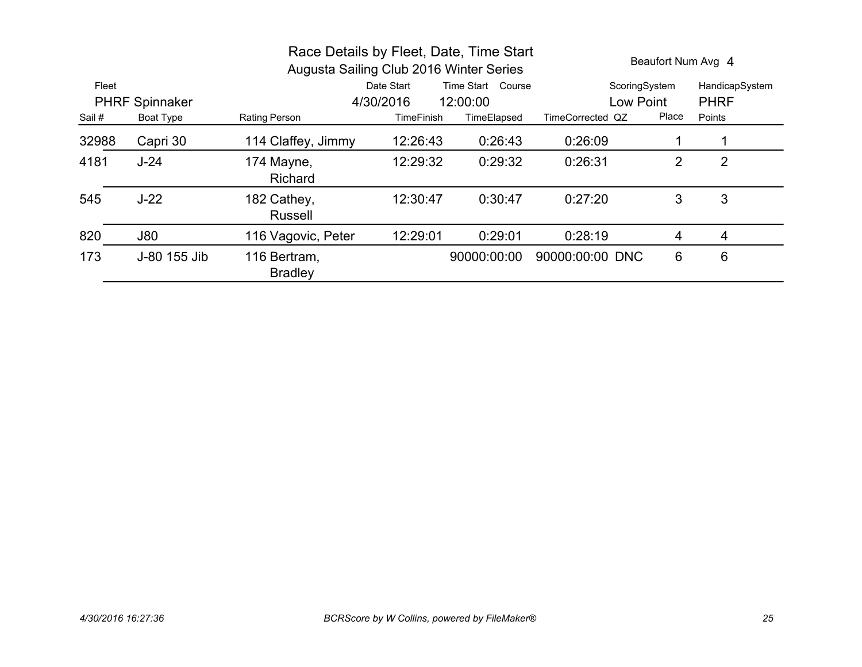|                       |              | Race Details by Fleet, Date, Time Start<br>Augusta Sailing Club 2016 Winter Series |                       |                             | Beaufort Num Avg 4 |       |                |
|-----------------------|--------------|------------------------------------------------------------------------------------|-----------------------|-----------------------------|--------------------|-------|----------------|
| Fleet                 |              |                                                                                    | Date Start            | <b>Time Start</b><br>Course | ScoringSystem      |       | HandicapSystem |
| <b>PHRF Spinnaker</b> |              |                                                                                    | 4/30/2016<br>12:00:00 |                             | Low Point          |       | <b>PHRF</b>    |
| Sail #                | Boat Type    | <b>Rating Person</b>                                                               | <b>TimeFinish</b>     | TimeElapsed                 | TimeCorrected QZ   | Place | Points         |
| 32988                 | Capri 30     | 114 Claffey, Jimmy                                                                 | 12:26:43              | 0:26:43                     | 0:26:09            |       |                |
| 4181                  | $J-24$       | 174 Mayne,<br><b>Richard</b>                                                       | 12:29:32              | 0:29:32                     | 0:26:31            | 2     | 2              |
| 545                   | $J-22$       | 182 Cathey,<br><b>Russell</b>                                                      | 12:30:47              | 0:30:47                     | 0:27:20            | 3     | 3              |
| 820                   | <b>J80</b>   | 116 Vagovic, Peter                                                                 | 12:29:01              | 0:29:01                     | 0:28:19            | 4     | 4              |
| 173                   | J-80 155 Jib | 116 Bertram,<br><b>Bradley</b>                                                     |                       | 90000:00:00                 | 90000:00:00 DNC    | 6     | 6              |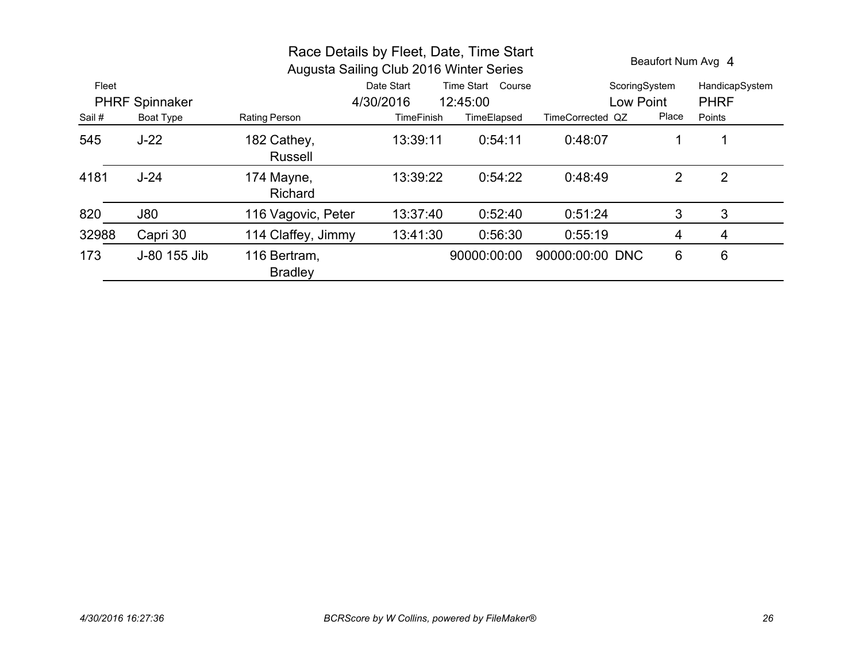|                       |                  | Race Details by Fleet, Date, Time Start<br>Augusta Sailing Club 2016 Winter Series | Beaufort Num Avg 4    |                   |                  |                |                |
|-----------------------|------------------|------------------------------------------------------------------------------------|-----------------------|-------------------|------------------|----------------|----------------|
| Fleet                 |                  |                                                                                    | Date Start            | Time Start Course | ScoringSystem    |                | HandicapSystem |
| <b>PHRF Spinnaker</b> |                  |                                                                                    | 4/30/2016<br>12:45:00 |                   | Low Point        |                | <b>PHRF</b>    |
| Sail #                | <b>Boat Type</b> | Rating Person                                                                      | <b>TimeFinish</b>     | TimeElapsed       | TimeCorrected QZ | Place          | Points         |
| 545                   | $J-22$           | 182 Cathey,<br><b>Russell</b>                                                      | 13:39:11              | 0:54:11           | 0:48:07          | 1              |                |
| 4181                  | $J-24$           | 174 Mayne,<br><b>Richard</b>                                                       | 13:39:22              | 0:54:22           | 0:48:49          | 2              | $\overline{2}$ |
| 820                   | J80              | 116 Vagovic, Peter                                                                 | 13:37:40              | 0:52:40           | 0:51:24          | 3              | 3              |
| 32988                 | Capri 30         | 114 Claffey, Jimmy                                                                 | 13:41:30              | 0:56:30           | 0:55:19          | $\overline{4}$ | 4              |
| 173                   | J-80 155 Jib     | 116 Bertram,<br><b>Bradley</b>                                                     |                       | 90000:00:00       | 90000:00:00 DNC  | 6              | 6              |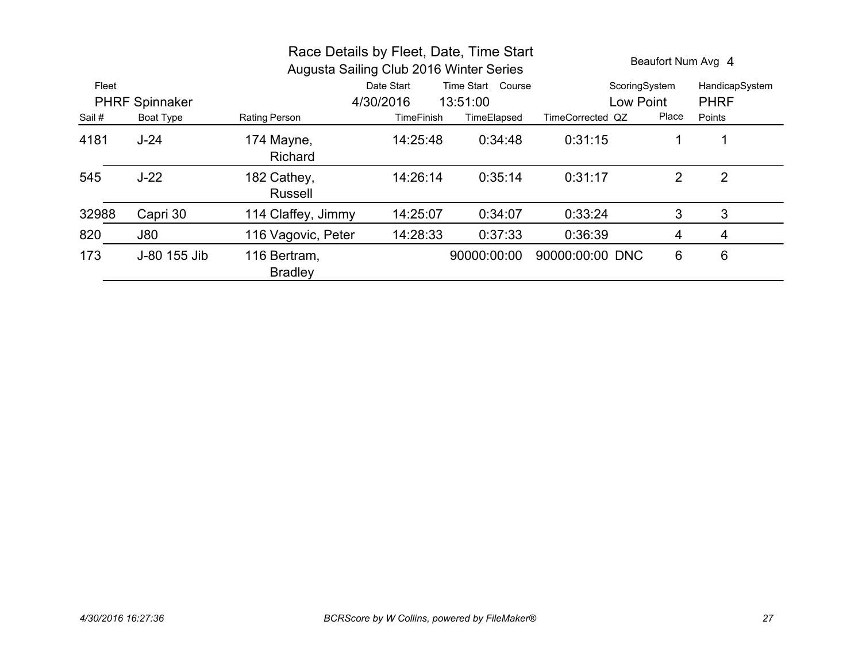|                       |                  | Race Details by Fleet, Date, Time Start<br>Augusta Sailing Club 2016 Winter Series |                                 |             | Beaufort Num Avg 4 |                |                |
|-----------------------|------------------|------------------------------------------------------------------------------------|---------------------------------|-------------|--------------------|----------------|----------------|
| Fleet                 |                  |                                                                                    | Time Start Course<br>Date Start |             | ScoringSystem      |                | HandicapSystem |
| <b>PHRF Spinnaker</b> |                  |                                                                                    | 4/30/2016<br>13:51:00           |             | Low Point          |                | <b>PHRF</b>    |
| Sail #                | <b>Boat Type</b> | Rating Person                                                                      | <b>TimeFinish</b>               | TimeElapsed | TimeCorrected QZ   | Place          | Points         |
| 4181                  | $J-24$           | 174 Mayne,<br><b>Richard</b>                                                       | 14:25:48                        | 0:34:48     | 0:31:15            | 1              |                |
| 545                   | $J-22$           | 182 Cathey,<br><b>Russell</b>                                                      | 14:26:14                        | 0:35:14     | 0:31:17            | 2              | $\overline{2}$ |
| 32988                 | Capri 30         | 114 Claffey, Jimmy                                                                 | 14:25:07                        | 0:34:07     | 0:33:24            | 3              | 3              |
| 820                   | <b>J80</b>       | 116 Vagovic, Peter                                                                 | 14:28:33                        | 0:37:33     | 0:36:39            | $\overline{4}$ | 4              |
| 173                   | J-80 155 Jib     | 116 Bertram,<br><b>Bradley</b>                                                     |                                 | 90000:00:00 | 90000:00:00 DNC    | 6              | 6              |